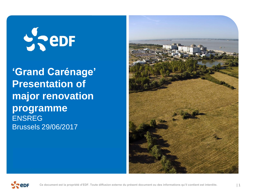# $\frac{1}{2}$  eDF

**'Grand Carénage' Presentation of major renovation programme** ENSREG Brussels 29/06/2017



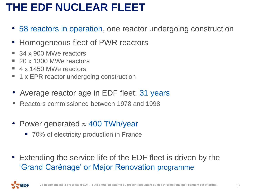# **THE EDF NUCLEAR FLEET**

- 58 reactors in operation, one reactor undergoing construction
- Homogeneous fleet of PWR reactors
- 34 x 900 MWe reactors
- 20 x 1300 MWe reactors
- 4 x 1450 MWe reactors
- 1 x EPR reactor undergoing construction
- Average reactor age in EDF fleet: 31 years
- Reactors commissioned between 1978 and 1998
- Power generated  $\approx$  400 TWh/year
	- 70% of electricity production in France
- Extending the service life of the EDF fleet is driven by the 'Grand Carénage' or Major Renovation programme

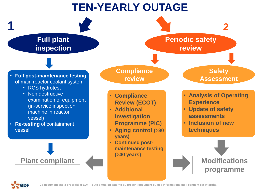# **TEN-YEARLY OUTAGE**



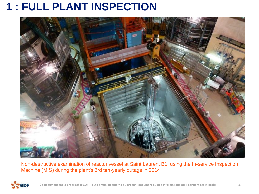## **1 : FULL PLANT INSPECTION**



Non-destructive examination of reactor vessel at Saint Laurent B1, using the In-service Inspection Machine (MIS) during the plant's 3rd ten-yearly outage in 2014

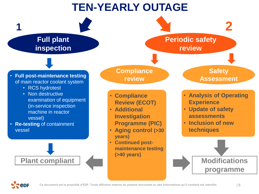# **TEN-YEARLY OUTAGE**



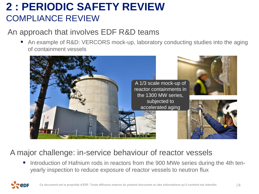#### **2 : PERIODIC SAFETY REVIEW** COMPLIANCE REVIEW

#### An approach that involves EDF R&D teams

■ An example of R&D: VERCORS mock-up, laboratory conducting studies into the aging of containment vessels



#### A major challenge: in-service behaviour of reactor vessels

 Introduction of Hafnium rods in reactors from the 900 MWe series during the 4th tenyearly inspection to reduce exposure of reactor vessels to neutron flux

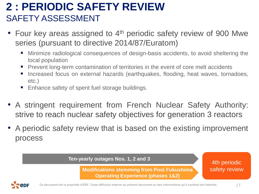#### **2 : PERIODIC SAFETY REVIEW** SAFETY ASSESSMENT

- Four key areas assigned to 4<sup>th</sup> periodic safety review of 900 Mwe series (pursuant to directive 2014/87/Euratom)
	- Minimize radiological consequences of design-basis accidents, to avoid sheltering the local population
	- **Prevent long-term contamination of territories in the event of core melt accidents**
	- Increased focus on external hazards (earthquakes, flooding, heat waves, tornadoes, etc.)
	- Enhance safety of spent fuel storage buildings.
- A stringent requirement from French Nuclear Safety Authority: strive to reach nuclear safety objectives for generation 3 reactors
- A periodic safety review that is based on the existing improvement process

#### **Ten-yearly outages Nos. 1, 2 and 3**

**Modifications stemming from Post Fukushima Operating Experience (phases 1&2)**

4th periodic safety review

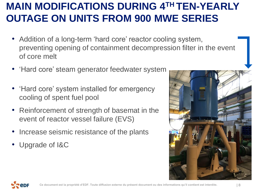### **MAIN MODIFICATIONS DURING 4TH TEN-YEARLY OUTAGE ON UNITS FROM 900 MWE SERIES**

- Addition of a long-term 'hard core' reactor cooling system, preventing opening of containment decompression filter in the event of core melt
- 'Hard core' steam generator feedwater system
- 'Hard core' system installed for emergency cooling of spent fuel pool
- Reinforcement of strength of basemat in the event of reactor vessel failure (EVS)
- Increase seismic resistance of the plants
- Upgrade of I&C



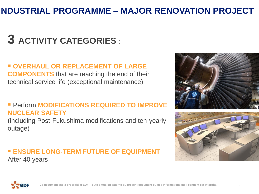#### **INDUSTRIAL PROGRAMME – MAJOR RENOVATION PROJECT**

# **3 ACTIVITY CATEGORIES :**

#### $\blacksquare$  **OVERHAUL OR REPLACEMENT OF LARGE COMPONENTS** that are reaching the end of their technical service life (exceptional maintenance)

#### **Perform MODIFICATIONS REQUIRED TO IMPROVE NUCLEAR SAFETY**

(including Post-Fukushima modifications and ten-yearly outage)

#### **ENSURE LONG-TERM FUTURE OF EQUIPMENT** After 40 years





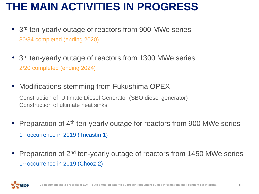# **THE MAIN ACTIVITIES IN PROGRESS**

- 3<sup>rd</sup> ten-yearly outage of reactors from 900 MWe series 30/34 completed (ending 2020)
- 3<sup>rd</sup> ten-yearly outage of reactors from 1300 MWe series 2/20 completed (ending 2024)
- Modifications stemming from Fukushima OPEX Construction of Ultimate Diesel Generator (SBO diesel generator) Construction of ultimate heat sinks
- Preparation of 4<sup>th</sup> ten-yearly outage for reactors from 900 MWe series 1<sup>st</sup> occurrence in 2019 (Tricastin 1)
- Preparation of 2<sup>nd</sup> ten-yearly outage of reactors from 1450 MWe series 1<sup>st</sup> occurrence in 2019 (Chooz 2)

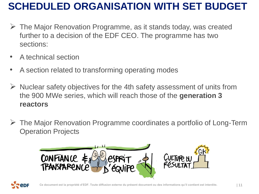### **SCHEDULED ORGANISATION WITH SET BUDGET**

- The Major Renovation Programme, as it stands today, was created further to a decision of the EDF CEO. The programme has two sections:
- A technical section
- A section related to transforming operating modes
- $\triangleright$  Nuclear safety objectives for the 4th safety assessment of units from the 900 MWe series, which will reach those of the **generation 3 reactors**
- The Major Renovation Programme coordinates a portfolio of Long-Term Operation Projects